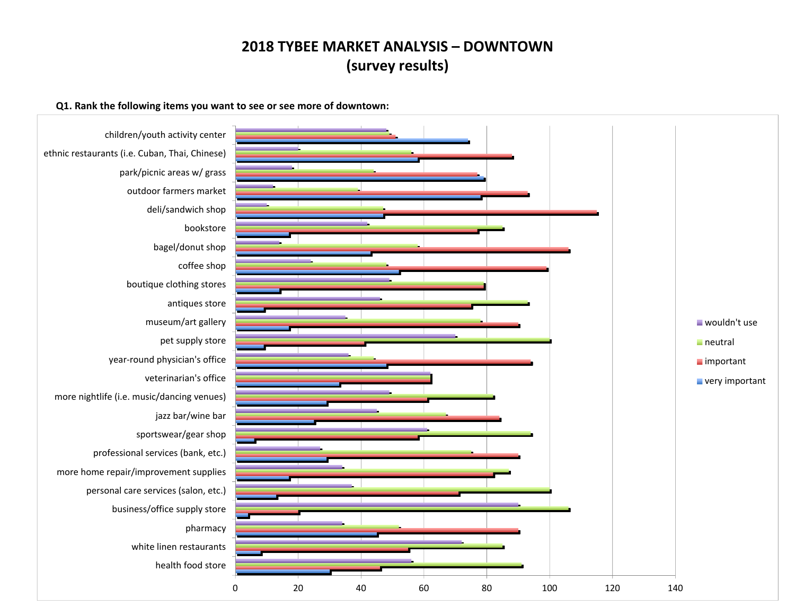#### **Q1. Rank the following items you want to see or see more of downtown:**

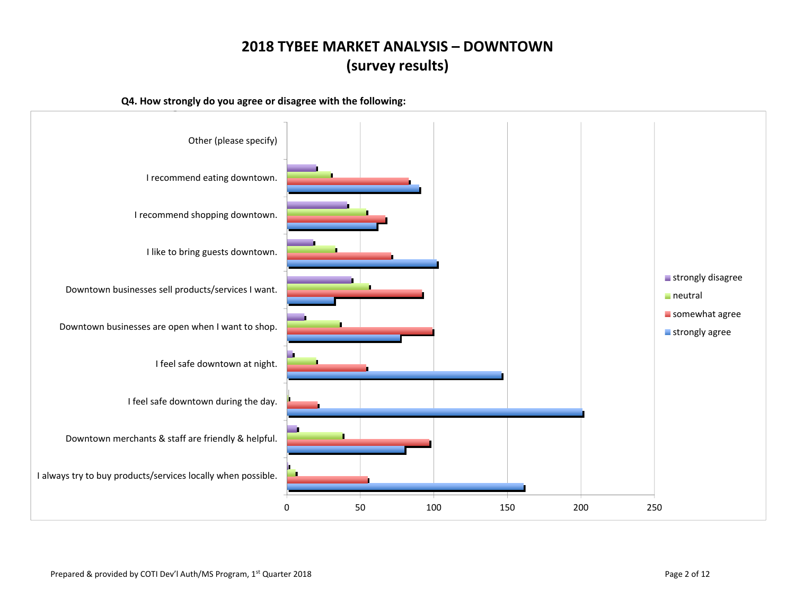#### **Q4. How strongly do you agree or disagree with the following:**

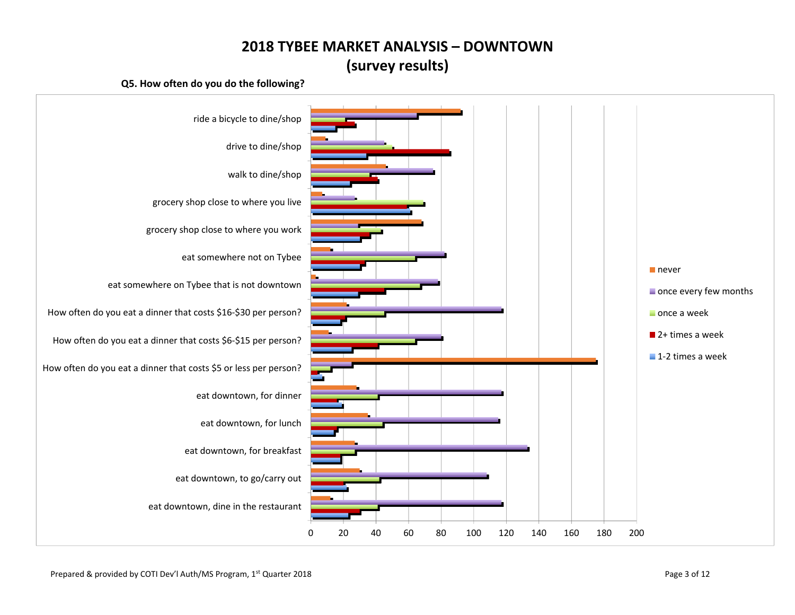#### **Q5. How often do you do the following?**

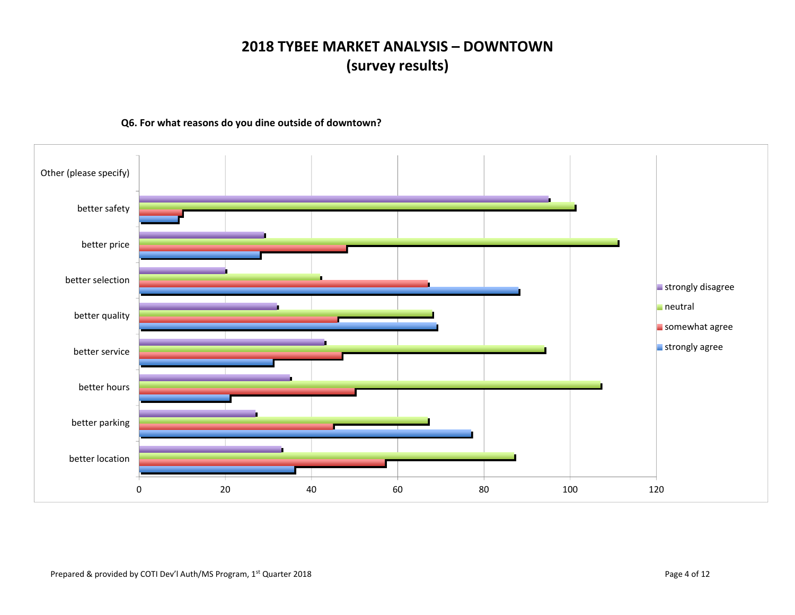### **Q6. For what reasons do you dine outside of downtown?**

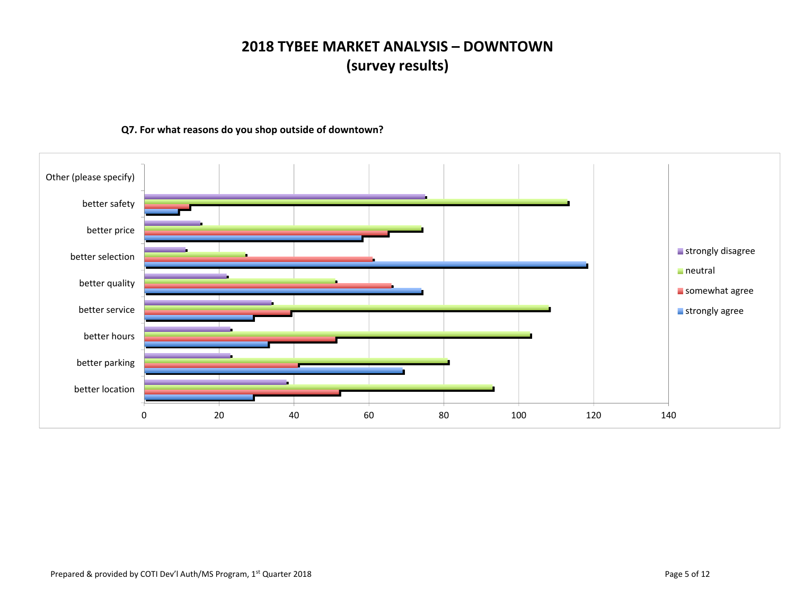### **Q7. For what reasons do you shop outside of downtown?**

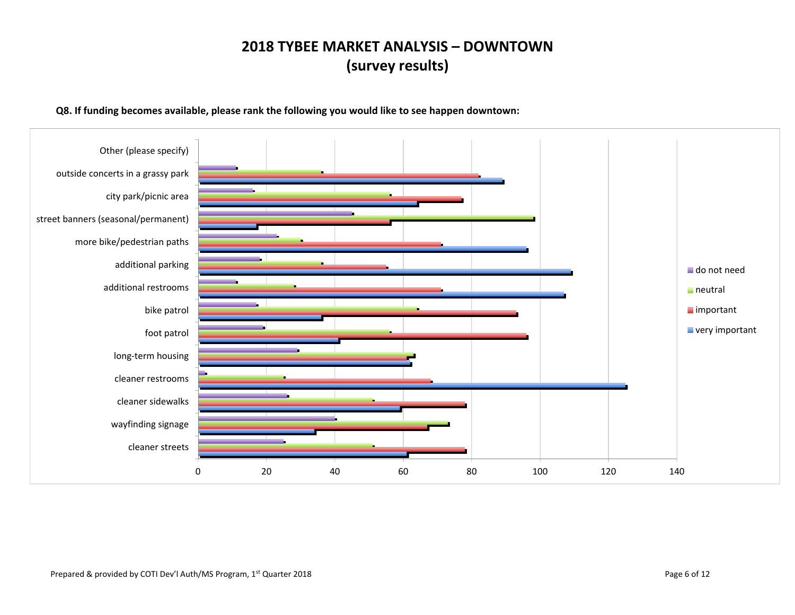### **Q8. If funding becomes available, please rank the following you would like to see happen downtown:**

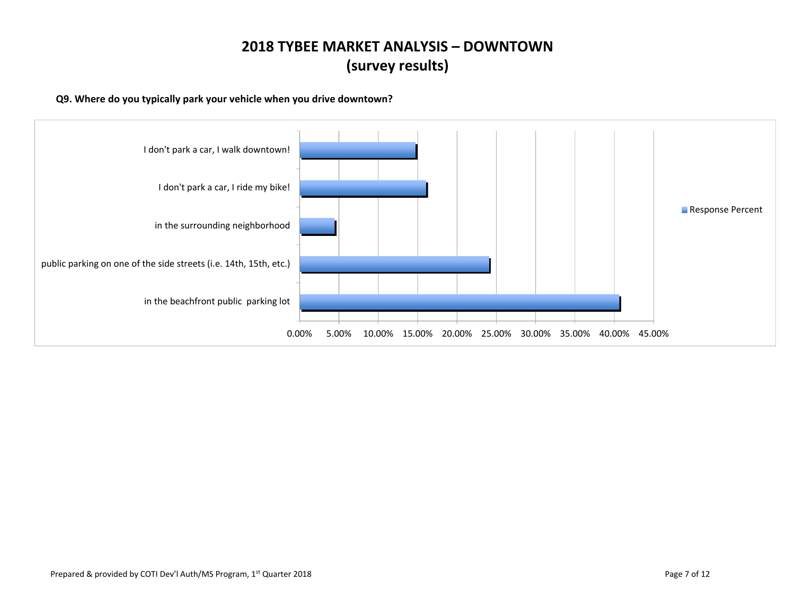### **Q9. Where do you typically park your vehicle when you drive downtown?**

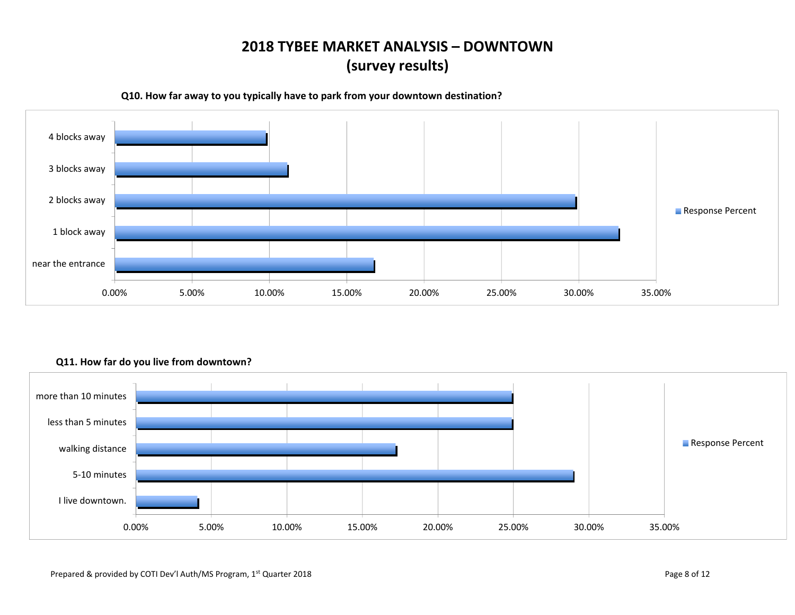

#### **Q10. How far away to you typically have to park from your downtown destination?**



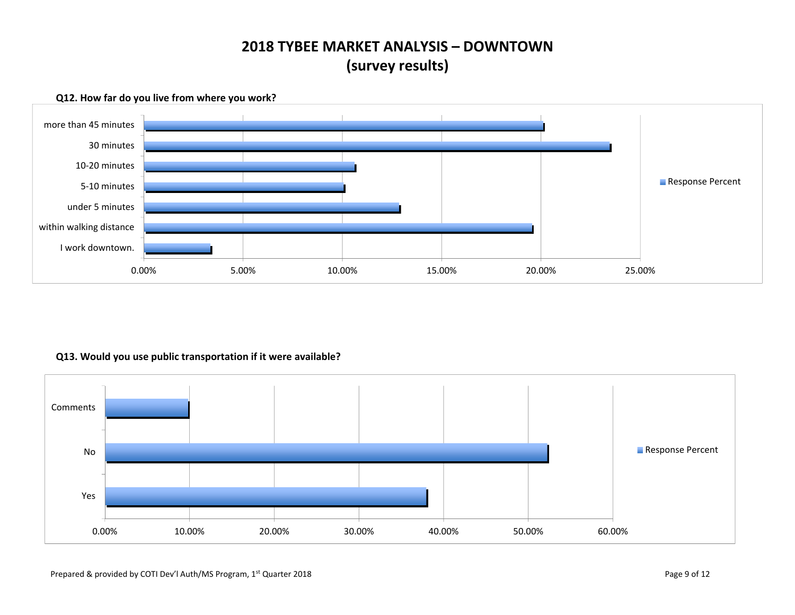

### **Q12. How far do you live from where you work?**

### **Q13. Would you use public transportation if it were available?**

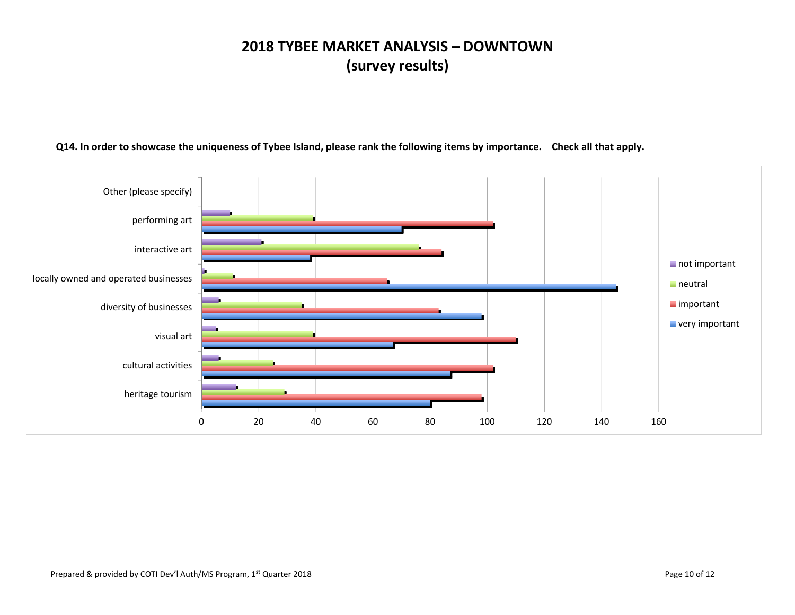#### Q14. In order to showcase the uniqueness of Tybee Island, please rank the following items by importance. Check all that apply.

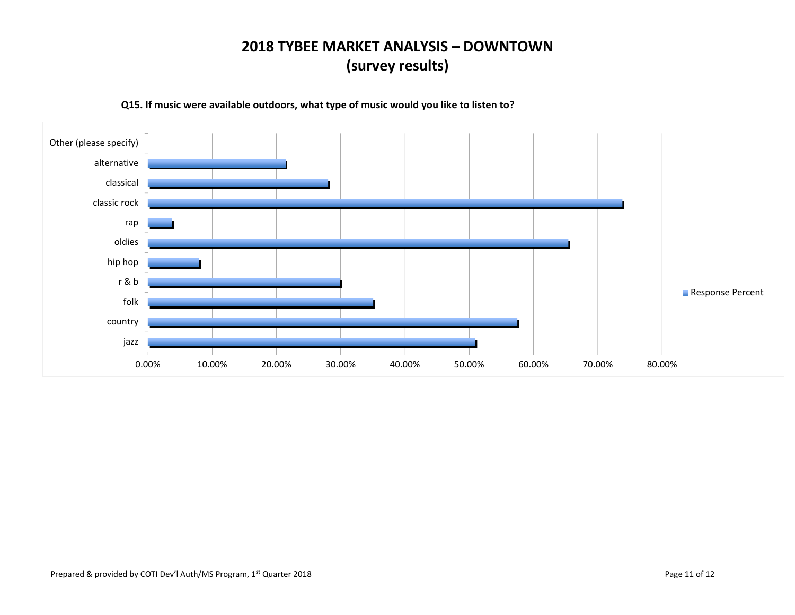

### **Q15. If music were available outdoors, what type of music would you like to listen to?**